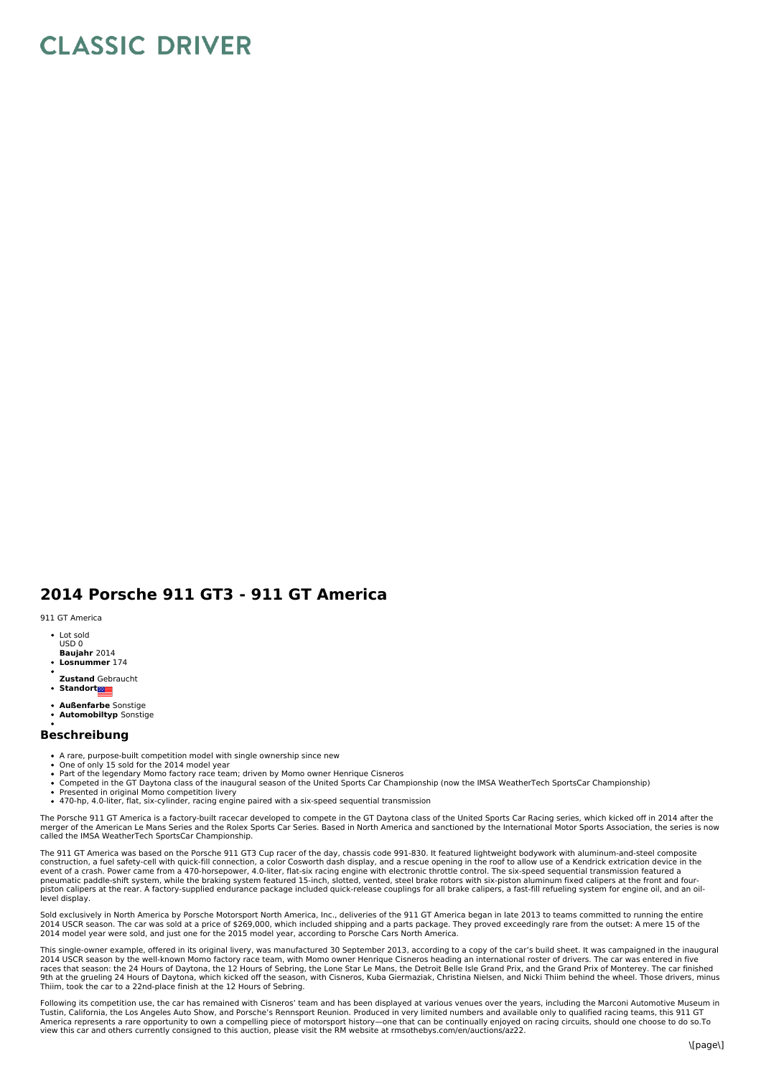## **CLASSIC DRIVER**

## **2014 Porsche 911 GT3 - 911 GT America**

911 GT America

- Lot sold USD 0
- **Baujahr** 2014
- **Losnummer** 174
- **Zustand** Gebraucht
- $\ddot{\phantom{a}}$ **Standort**
- **Außenfarbe** Sonstige
- **Automobiltyp** Sonstige

## **Beschreibung**

- A rare, purpose-built competition model with single ownership since new One of only 15 sold for the 2014 model year
- 
- 
- Part of the legendary Momo factory race team; driven by Momo owner Henrique Cisneros<br>Competed in the GT Daytona class of the inaugural season of the United Sports Car Championship (now the IMSA WeatherTech SportsCar Champi
- Presented in original Momo competition livery<br>470-hp, 4.0-liter, flat, six-cylinder, racing engine paired with a six-speed sequential transmission
- 

The Porsche 911 GT America is a factory-built racecar developed to compete in the GT Daytona class of the United Sports Car Racing series, which kicked off in 2014 after the merger of the American Le Mans Series and the Rolex Sports Car Series. Based in North America and sanctioned by the International Motor Sports Association, the series is now<br>called the IMSA WeatherTech SportsCar Championsh

The 911 GT America was based on the Porsche 911 GT3 Cup racer of the day, chassis code 991-830. It featured lightweight bodywork with aluminum-and-steel composite construction, a fuel safety-cell with quick-fill connection, a color Cosworth dash display, and a rescue opening in the roof to allow use of a Kendrick extrication device in the<br>event of a crash. Power came from a 470-hors pneumatic paddle-shift system, while the braking system featured 15-inch, slotted, vented, steel brake rotors with six-piston aluminum fixed calipers at the front and four-<br>piston calipers at the rear. A factory-supplied e level display.

Sold exclusively in North America by Porsche Motorsport North America, Inc., deliveries of the 911 GT America began in late 2013 to teams committed to running the entire 2014 USCR season. The car was sold at a price of \$269,000, which included shipping and a parts package. They proved exceedingly rare from the outset: A mere 15 of the<br>2014 model year were sold, and just one for the 2015 mo

This single-owner example, offered in its original livery, was manufactured 30 September 2013, according to a copy of the car's build sheet. It was campaigned in the inaugural<br>2014 USCR season: by the well-known Momo facto Thiim, took the car to a 22nd-place finish at the 12 Hours of Sebring.

Following its competition use, the car has remained with Cisneros' team and has been displayed at various venues over the years, including the Marconi Automotive Museum in Tustin, California, the Los Angeles Auto Show, and Porsche's Rennsport Reunion. Produced in very limited numbers and available only to qualified racing teams, this 911 GT<br>America represents a rare opportunity to own a comp view this car and others currently consigned to this auction, please visit the RM website at rmsothebys.com/en/auctions/az22.